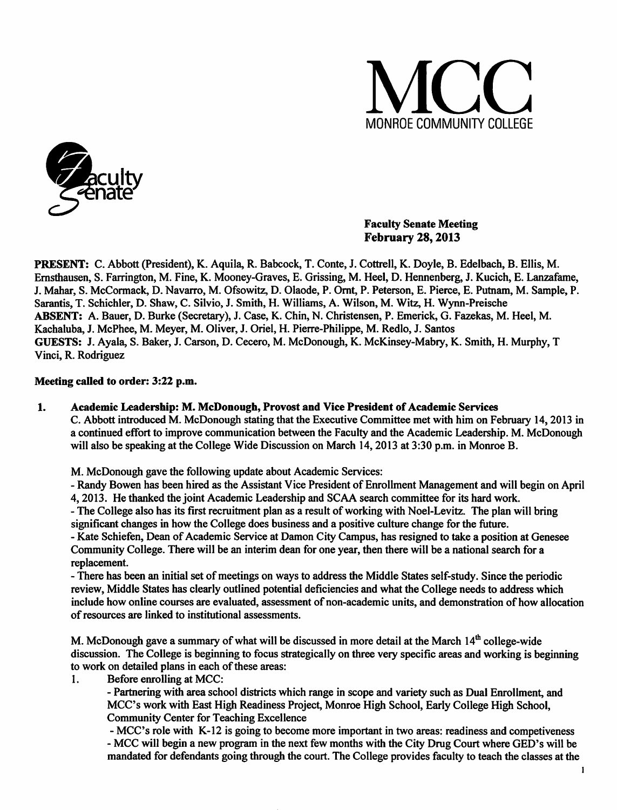



## *Faculty Senate Meeting February 28,2013*

*PRESENT:* C. Abbott (President), K. Aquila, R. Babcock, T. Conte, J. Cottrell, K. Doyle, B. Edelbach, B. Ellis, M. Emsthausen, S. Farrington, M. Fine, K. Mooney-Graves, E. Grissing, M. Heel, D. Hennenberg, J. Kucich, E. Lanzafame, J. Mahar, S. McCormack, D. Navarro, M. Ofsowitz, D. Olaode, P. Ornt, P. Peterson, E. Pierce, E. Putnam, M. Sample, P. Sarantis, T. Schichler, D. Shaw, C. Silvio, J. Smith, H. Williams, A. Wilson, M. Witz, H. Wynn-Preische ABSENT: A. Bauer, D. Burke (Secretary), J. Case, K. Chin, N. Christensen, P. Emerick, G. Fazekas, M. Heel, M. Kachaluba, J. McPhee, M. Meyer, M. Oliver, J. Oriel, H. Pierre-Philippe, M. Redlo, J. Santos GUESTS: J. Ayala, S. Baker, J. Carson, D. Cecero, M. McDonough, K. McKinsey-Mabry, K. Smith, H. Murphy, T Vinci, R. Rodriguez

## *Meeting called to order: 3:22 p.m.*

### *1. Academic Leadership: M. McDonough, Provost and Vice President ofAcademic Services*

C. Abbott introduced M. McDonough stating that the Executive Committee met with him on February 14,2013 in a continued effort to improve communication between the Faculty and the Academic Leadership. M. McDonough will also be speaking at the College Wide Discussion on March 14,2013 at 3:30 p.m. in Monroe B.

M. McDonough gave the following update about Academic Services:

- Randy Bowen has been hired as the Assistant Vice President of Enrollment Management and will begin on April 4,2013. He thanked the joint Academic Leadership and SCAA search committee for its hard work.

- The College also has its first recruitment plan as a result of working with Noel-Levitz. The plan will bring significant changes in how the College does business and a positive culture change for the future.

- Kate Schiefen, Dean of Academic Service at Damon City Campus, has resigned to take a position at Genesee Community College. There will be an interim dean for one year, then there will be a national search for a replacement.

- There has been an initial set of meetings on ways to address the Middle States self-study. Since the periodic review, Middle States has clearly outlined potential deficiencies and what the College needs to address which include how online courses are evaluated, assessment of non-academic units, and demonstration of how allocation of resources are linked to institutional assessments.

M. McDonough gave a summary of what will be discussed in more detail at the March  $14<sup>th</sup>$  college-wide discussion. The College is beginning to focus strategically on three very specific areas and working is beginning to work on detailed plans in each of these areas:

1. Before enrolling at MCC:

- Partnering with area school districts which range in scope and variety such as Dual Enrollment, and MCC's work with East High Readiness Project, Monroe High School, Early College High School, Community Center for Teaching Excellence

- MCC's role with K-12 is going to become more important in two areas: readiness and competiveness - MCC will begin a new program in the next few months with the City Drug Court where GED's will be mandated for defendants going through the court. The College provides faculty to teach the classes at the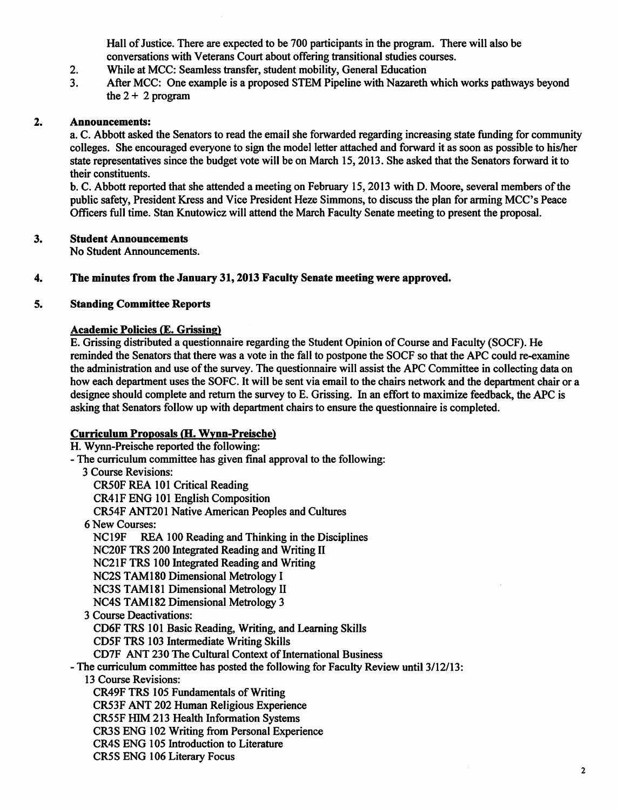Hall of Justice. There are expected to be 700 participants in the program. There will also be conversations with Veterans Court about offering transitional studies courses.

- 2. While at MCC: Seamless transfer, student mobility, General Education
- 3. After MCC: One example is a proposed STEM Pipeline with Nazareth which works pathways beyond the  $2 + 2$  program

### *2. Announcements:*

a. C. Abbott asked the Senators to read the email she forwarded regarding increasing state funding for community colleges. She encouraged everyone to sign the model letter attached and forward it as soon as possible to his/her state representatives since the budget vote will be on March 15,2013. She asked that the Senators forward it to their constituents.

b. C. Abbott reported that she attended a meeting on February 15,2013 with D. Moore, several members ofthe public safety, President Kress and Vice President Heze Simmons, to discuss the plan for arming MCC's Peace Officers full time. Stan Knutowicz will attend the March Faculty Senate meeting to present the proposal.

### *3. Student Announcements*

No Student Announcements.

*4. The minutes from the January 31,2013 Faculty Senate meeting were approved.*

## *5. Standing Committee Reports*

## *Academic Policies* (E. *Grissing)*

E. Grissing distributed a questionnaire regarding the Student Opinion ofCourse and Faculty (SOCF). He reminded the Senators that there was a vote in the fall to postpone the SOCF so that the APC could re-examine the administration and use ofthe survey. The questionnaire will assist the APC Committee in collecting data on how each department uses the SOFC. It will be sent via email to the chairs network and the department chair or a designee should complete and return the survey to E. Grissing. In an effort to maximize feedback, the APC is asking that Senators follow up with department chairs to ensure the questionnaire is completed.

# *Curriculum Proposals (H. Wvnn-Preische)*

H. Wynn-Preische reported the following: - The curriculum committee has given final approval to the following: 3 Course Revisions: CR50F REA 101 Critical Reading CR41F ENG 101 English Composition CR54F ANT201 Native American Peoples and Cultures 6 New Courses: REA 100 Reading and Thinking in the Disciplines NC20F TRS 200 Integrated Reading and Writing II NC21F TRS 100 Integrated Reading and Writing NC2S TAM180 Dimensional Metrology I NC3S TAM181 Dimensional Metrology II NC4S TAM182 Dimensional Metrology 3 3 Course Deactivations: CD6F TRS 101 Basic Reading, Writing, and Learning Skills CD5F TRS 103 Intermediate Writing Skills CD7F ANT 230 The Cultural Context of International Business - The curriculum committee has posted the following for Faculty Review until 3/12/13: 13 Course Revisions: CR49F TRS 105 Fundamentals of Writing CR53F ANT 202 Human Religious Experience CR55F HIM 213 Health Information Systems CR3S ENG 102 Writing from Personal Experience CR4S ENG 105 Introduction to Literature CR5S ENG 106 Literary Focus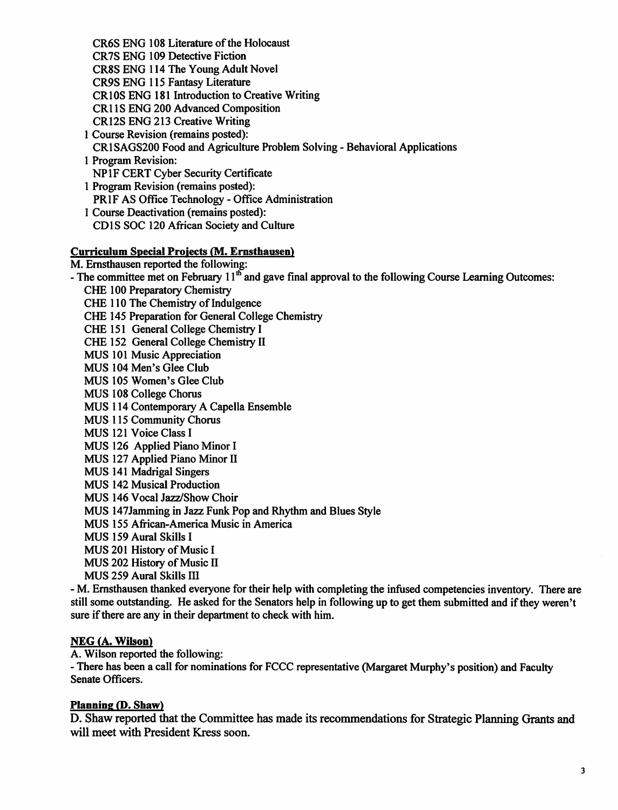*CR6S ENG 108 Literature ofthe Holocaust CR7S ENG 109 Detective Fiction CR8S ENG 114 The Young Adult Novel CR9S ENG 115 Fantasy Literature CR10S ENG 181 Introduction to Creative Writing CR1 IS ENG 200 Advanced Composition CR12S ENG 213 Creative Writing*

- *1 Course Revision (remains posted): CR1SAGS200 Food and Agriculture Problem Solving - Behavioral Applications 1 Program Revision:*
- *NP1F CERT Cyber Security Certificate*
- *1 Program Revision (remains posted): PRIF AS Office Technology - Office Administration 1 Course Deactivation (remains posted):*
- *CD IS SOC 120 African Society and Culture*

# *Curriculum Special Projects (M. Emsthausen)*

*M. Emsthausen reported the following:*

*-The committee meton February 11th and gave final approval tothe following Course Learning Outcomes: CHE 100 PreparatoryChemistry*

**CHE** 110 The Chemistry of Indulgence *CHE 145 Preparation for General College Chemistry CHE 151 General College Chemistry I CHE 152 General College Chemistry II MUS 101 Music Appreciation MUS 104 Men's Glee Club MUS 105 Women's Glee Club MUS 108 College Chorus MUS 114 Contemporary A Capella Ensemble MUS 115 Community Chorus MUS 121 Voice Class I MUS 126 Applied Piano Minor I MUS 127 Applied Piano Minor II MUS 141 Madrigal Singers MUS 142 Musical Production MUS 146 Vocal Jazz/Show Choir MUS 147Jamming in Jazz Funk Pop and Rhythm and Blues Style MUS 155 African-America Music in America MUS 159 Aural Skills I MUS* 201 History of Music I *MUS* 202 History of Music II

*MUS 259 Aural Skills HI*

- M. Ernsthausen thanked everyone for their help with completing the infused competencies inventory. There are *still some outstanding. He asked forthe Senators help in followingup to get them submitted and ifthey weren't sure ifthere are any in their department to check with him.*

# *NEG (A. Wilson)*

*A. Wilson reported the following:*

*- There has been a call for nominations for FCCCrepresentative (MargaretMurphy's position) and Faculty Senate Officers.*

# *Planning (P. Shaw)*

**D. Shaw reported that the Committee has made its recommendations for Strategic Planning Grants and** *will meet with President Kress soon.*